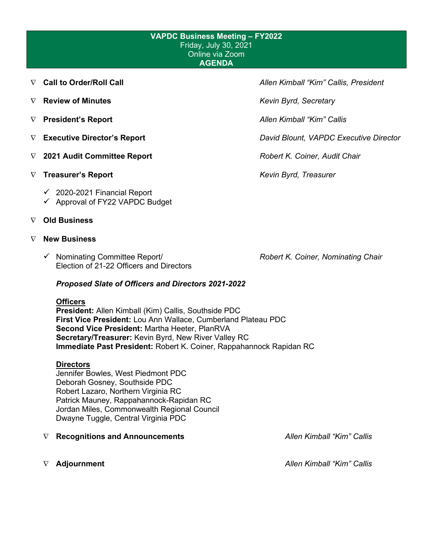#### **VAPDC Business Meeting – FY2022** Friday, July 30, 2021 Online via Zoom **AGENDA**

- 
- ∇ **Review of Minutes** *Kevin Byrd, Secretary*
- 
- 
- ∇ **2021 Audit Committee Report** *Robert K. Coiner, Audit Chair*
- ∇ **Treasurer's Report** *Kevin Byrd, Treasurer*
	- $\checkmark$  2020-2021 Financial Report
	- $\checkmark$  Approval of FY22 VAPDC Budget
- ∇ **Old Business**

#### ∇ **New Business**

 Nominating Committee Report/ *Robert K. Coiner, Nominating Chair* Election of 21-22 Officers and Directors

#### *Proposed Slate of Officers and Directors 2021-2022*

#### **Officers**

**President:** Allen Kimball (Kim) Callis, Southside PDC **First Vice President:** Lou Ann Wallace, Cumberland Plateau PDC **Second Vice President:** Martha Heeter, PlanRVA **Secretary/Treasurer:** Kevin Byrd, New River Valley RC **Immediate Past President:** Robert K. Coiner, Rappahannock Rapidan RC

#### **Directors**

Jennifer Bowles, West Piedmont PDC Deborah Gosney, Southside PDC Robert Lazaro, Northern Virginia RC Patrick Mauney, Rappahannock-Rapidan RC Jordan Miles, Commonwealth Regional Council Dwayne Tuggle, Central Virginia PDC

- ∇ **Recognitions and Announcements** *Allen Kimball "Kim" Callis*
- 

∇ **Call to Order/Roll Call** *Allen Kimball "Kim" Callis, President*

∇ **President's Report** *Allen Kimball "Kim" Callis*

∇ **Executive Director's Report** *David Blount, VAPDC Executive Director*

∇ **Adjournment** *Allen Kimball "Kim" Callis*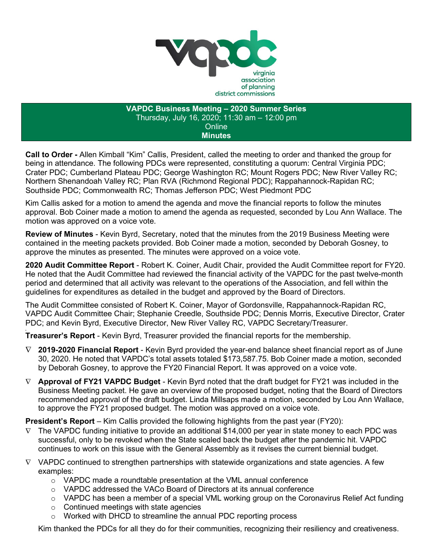

**VAPDC Business Meeting – 2020 Summer Series** Thursday, July 16, 2020; 11:30 am – 12:00 pm **Online Minutes**

**Call to Order -** Allen Kimball "Kim" Callis, President, called the meeting to order and thanked the group for being in attendance. The following PDCs were represented, constituting a quorum: Central Virginia PDC; Crater PDC; Cumberland Plateau PDC; George Washington RC; Mount Rogers PDC; New River Valley RC; Northern Shenandoah Valley RC; Plan RVA (Richmond Regional PDC); Rappahannock-Rapidan RC; Southside PDC; Commonwealth RC; Thomas Jefferson PDC; West Piedmont PDC

Kim Callis asked for a motion to amend the agenda and move the financial reports to follow the minutes approval. Bob Coiner made a motion to amend the agenda as requested, seconded by Lou Ann Wallace. The motion was approved on a voice vote.

**Review of Minutes** - Kevin Byrd, Secretary, noted that the minutes from the 2019 Business Meeting were contained in the meeting packets provided. Bob Coiner made a motion, seconded by Deborah Gosney, to approve the minutes as presented. The minutes were approved on a voice vote.

**2020 Audit Committee Report** - Robert K. Coiner, Audit Chair, provided the Audit Committee report for FY20. He noted that the Audit Committee had reviewed the financial activity of the VAPDC for the past twelve-month period and determined that all activity was relevant to the operations of the Association, and fell within the guidelines for expenditures as detailed in the budget and approved by the Board of Directors.

The Audit Committee consisted of Robert K. Coiner, Mayor of Gordonsville, Rappahannock-Rapidan RC, VAPDC Audit Committee Chair; Stephanie Creedle, Southside PDC; Dennis Morris, Executive Director, Crater PDC; and Kevin Byrd, Executive Director, New River Valley RC, VAPDC Secretary/Treasurer.

**, Treasurer's Report** - Kevin Byrd, Treasurer provided the financial reports for the membership.

- ∇ **2019-2020 Financial Report**  Kevin Byrd provided the year-end balance sheet financial report as of June 30, 2020. He noted that VAPDC's total assets totaled \$173,587.75. Bob Coiner made a motion, seconded by Deborah Gosney, to approve the FY20 Financial Report. It was approved on a voice vote.
- ∇ **Approval of FY21 VAPDC Budget** Kevin Byrd noted that the draft budget for FY21 was included in the Business Meeting packet. He gave an overview of the proposed budget, noting that the Board of Directors recommended approval of the draft budget. Linda Millsaps made a motion, seconded by Lou Ann Wallace, to approve the FY21 proposed budget. The motion was approved on a voice vote.

**President's Report** – Kim Callis provided the following highlights from the past year (FY20):

- $\nabla$  The VAPDC funding initiative to provide an additional \$14,000 per year in state money to each PDC was successful, only to be revoked when the State scaled back the budget after the pandemic hit. VAPDC continues to work on this issue with the General Assembly as it revises the current biennial budget.
- $\nabla$  VAPDC continued to strengthen partnerships with statewide organizations and state agencies. A few examples:
	- $\circ$  VAPDC made a roundtable presentation at the VML annual conference
	- o VAPDC addressed the VACo Board of Directors at its annual conference
	- o VAPDC has been a member of a special VML working group on the Coronavirus Relief Act funding
	- $\circ$  Continued meetings with state agencies
	- o Worked with DHCD to streamline the annual PDC reporting process

Kim thanked the PDCs for all they do for their communities, recognizing their resiliency and creativeness.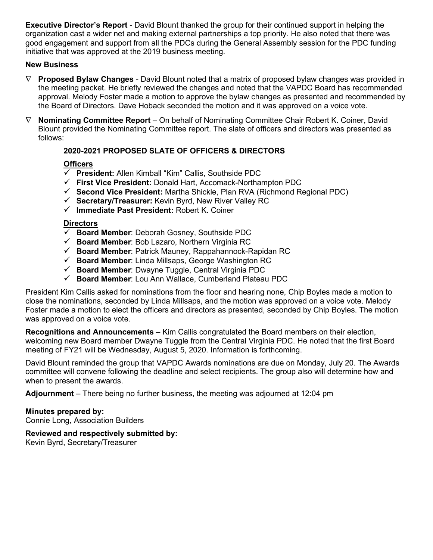**Executive Director's Report** - David Blount thanked the group for their continued support in helping the organization cast a wider net and making external partnerships a top priority. He also noted that there was good engagement and support from all the PDCs during the General Assembly session for the PDC funding initiative that was approved at the 2019 business meeting.

#### **New Business**

- ∇ **Proposed Bylaw Changes** David Blount noted that a matrix of proposed bylaw changes was provided in the meeting packet. He briefly reviewed the changes and noted that the VAPDC Board has recommended approval. Melody Foster made a motion to approve the bylaw changes as presented and recommended by the Board of Directors. Dave Hoback seconded the motion and it was approved on a voice vote.
- ∇ **Nominating Committee Report** On behalf of Nominating Committee Chair Robert K. Coiner, David Blount provided the Nominating Committee report. The slate of officers and directors was presented as follows:

### **2020-2021 PROPOSED SLATE OF OFFICERS & DIRECTORS**

### **Officers**

- **President:** Allen Kimball "Kim" Callis, Southside PDC
- **First Vice President:** Donald Hart, Accomack-Northampton PDC
- **Second Vice President:** Martha Shickle, Plan RVA (Richmond Regional PDC)
- **Secretary/Treasurer:** Kevin Byrd, New River Valley RC
- **Immediate Past President:** Robert K. Coiner

#### **Directors**

- **Board Member**: Deborah Gosney, Southside PDC
- **Board Member**: Bob Lazaro, Northern Virginia RC
- **Board Member**: Patrick Mauney, Rappahannock-Rapidan RC
- **Board Member**: Linda Millsaps, George Washington RC
- **Board Member**: Dwayne Tuggle, Central Virginia PDC
- **Board Member**: Lou Ann Wallace, Cumberland Plateau PDC

President Kim Callis asked for nominations from the floor and hearing none, Chip Boyles made a motion to close the nominations, seconded by Linda Millsaps, and the motion was approved on a voice vote. Melody Foster made a motion to elect the officers and directors as presented, seconded by Chip Boyles. The motion was approved on a voice vote.

**Recognitions and Announcements** – Kim Callis congratulated the Board members on their election, welcoming new Board member Dwayne Tuggle from the Central Virginia PDC. He noted that the first Board meeting of FY21 will be Wednesday, August 5, 2020. Information is forthcoming.

David Blount reminded the group that VAPDC Awards nominations are due on Monday, July 20. The Awards committee will convene following the deadline and select recipients. The group also will determine how and when to present the awards.

**Adjournment** – There being no further business, the meeting was adjourned at 12:04 pm

#### **Minutes prepared by:**

Connie Long, Association Builders

### **Reviewed and respectively submitted by:**

Kevin Byrd, Secretary/Treasurer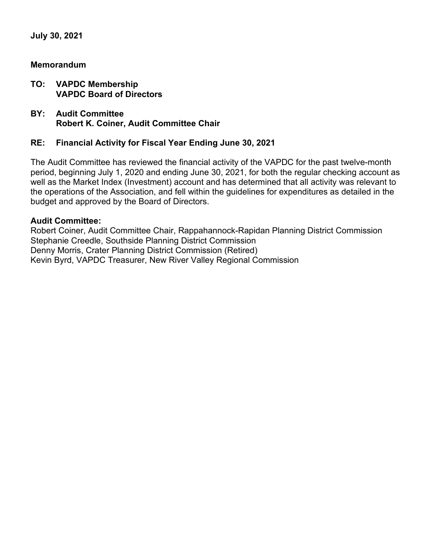**July 30, 2021**

### **Memorandum**

- **TO: VAPDC Membership VAPDC Board of Directors**
- **BY: Audit Committee Robert K. Coiner, Audit Committee Chair**

### **RE: Financial Activity for Fiscal Year Ending June 30, 2021**

The Audit Committee has reviewed the financial activity of the VAPDC for the past twelve-month period, beginning July 1, 2020 and ending June 30, 2021, for both the regular checking account as well as the Market Index (Investment) account and has determined that all activity was relevant to the operations of the Association, and fell within the guidelines for expenditures as detailed in the budget and approved by the Board of Directors.

### **Audit Committee:**

Robert Coiner, Audit Committee Chair, Rappahannock-Rapidan Planning District Commission Stephanie Creedle, Southside Planning District Commission Denny Morris, Crater Planning District Commission (Retired) Kevin Byrd, VAPDC Treasurer, New River Valley Regional Commission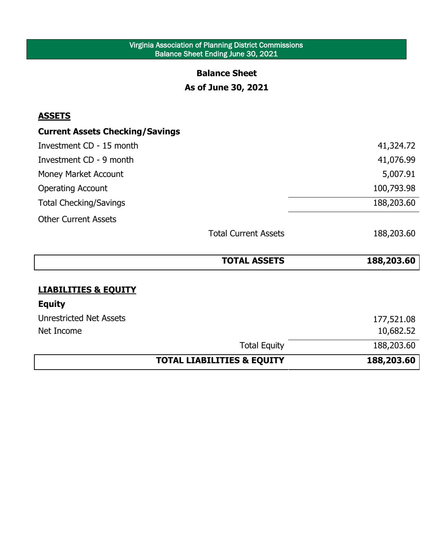### Virginia Association of Planning District Commissions Balance Sheet Ending June 30, 2021

### **Balance Sheet**

# **As of June 30, 2021**

# **ASSETS**

l,

# **Current Assets Checking/Savings**

| Investment CD - 15 month      |                             | 41,324.72  |
|-------------------------------|-----------------------------|------------|
| Investment CD - 9 month       |                             | 41,076.99  |
| Money Market Account          |                             | 5,007.91   |
| <b>Operating Account</b>      |                             | 100,793.98 |
| <b>Total Checking/Savings</b> |                             | 188,203.60 |
| <b>Other Current Assets</b>   |                             |            |
|                               | <b>Total Current Assets</b> | 188,203.60 |

|                                 | <b>TOTAL ASSETS</b> | 188,203.60 |
|---------------------------------|---------------------|------------|
|                                 |                     |            |
| <b>LIABILITIES &amp; EQUITY</b> |                     |            |
| <b>Equity</b>                   |                     |            |
| <b>Unrestricted Net Assets</b>  |                     | 177,521.08 |
| Net Income                      |                     | 10,682.52  |
|                                 | <b>Total Equity</b> | 188,203.60 |

# **TOTAL LIABILITIES & EQUITY 188,203.60**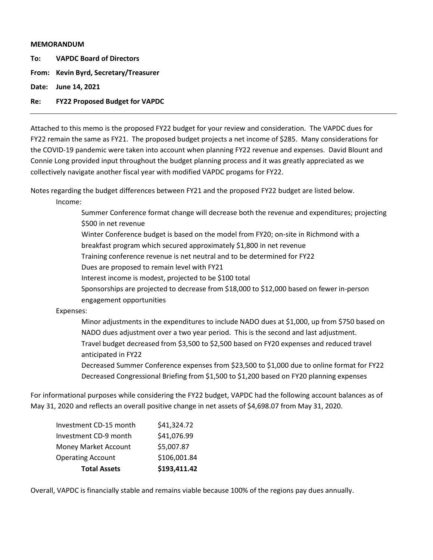#### **MEMORANDUM**

**To: VAPDC Board of Directors**

**From: Kevin Byrd, Secretary/Treasurer**

**Date: June 14, 2021**

#### **Re: FY22 Proposed Budget for VAPDC**

Attached to this memo is the proposed FY22 budget for your review and consideration. The VAPDC dues for FY22 remain the same as FY21. The proposed budget projects a net income of \$285. Many considerations for the COVID-19 pandemic were taken into account when planning FY22 revenue and expenses. David Blount and Connie Long provided input throughout the budget planning process and it was greatly appreciated as we collectively navigate another fiscal year with modified VAPDC progams for FY22.

Notes regarding the budget differences between FY21 and the proposed FY22 budget are listed below. Income:

Summer Conference format change will decrease both the revenue and expenditures; projecting \$500 in net revenue

Winter Conference budget is based on the model from FY20; on-site in Richmond with a

breakfast program which secured approximately \$1,800 in net revenue

Training conference revenue is net neutral and to be determined for FY22

Dues are proposed to remain level with FY21

Interest income is modest, projected to be \$100 total

Sponsorships are projected to decrease from \$18,000 to \$12,000 based on fewer in-person engagement opportunities

Expenses:

Minor adjustments in the expenditures to include NADO dues at \$1,000, up from \$750 based on NADO dues adjustment over a two year period. This is the second and last adjustment. Travel budget decreased from \$3,500 to \$2,500 based on FY20 expenses and reduced travel anticipated in FY22

Decreased Summer Conference expenses from \$23,500 to \$1,000 due to online format for FY22 Decreased Congressional Briefing from \$1,500 to \$1,200 based on FY20 planning expenses

For informational purposes while considering the FY22 budget, VAPDC had the following account balances as of May 31, 2020 and reflects an overall positive change in net assets of \$4,698.07 from May 31, 2020.

| <b>Total Assets</b>         | \$193,411.42 |
|-----------------------------|--------------|
| <b>Operating Account</b>    | \$106,001.84 |
| <b>Money Market Account</b> | \$5,007.87   |
| Investment CD-9 month       | \$41,076.99  |
| Investment CD-15 month      | \$41,324.72  |

Overall, VAPDC is financially stable and remains viable because 100% of the regions pay dues annually.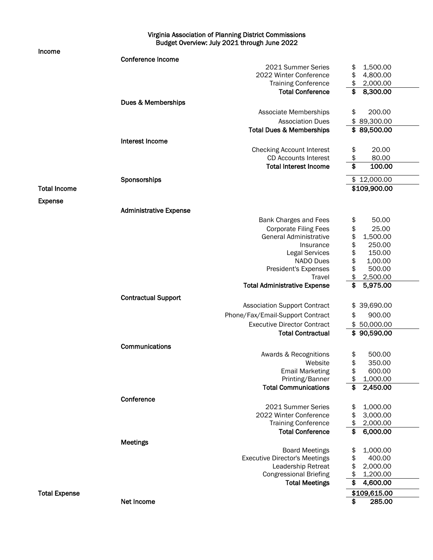#### Virginia Association of Planning District Commissions Budget Overview: July 2021 through June 2022

#### Income

|                      | <b>Conference Income</b>      |                                                               |                        |
|----------------------|-------------------------------|---------------------------------------------------------------|------------------------|
|                      |                               | 2021 Summer Series                                            | 1,500.00<br>\$         |
|                      |                               | 2022 Winter Conference                                        | \$<br>4,800.00         |
|                      |                               | <b>Training Conference</b>                                    | \$<br>2,000.00         |
|                      |                               | <b>Total Conference</b>                                       | \$<br>8,300.00         |
|                      | Dues & Memberships            |                                                               |                        |
|                      |                               | Associate Memberships                                         | \$<br>200.00           |
|                      |                               | <b>Association Dues</b>                                       | \$<br>89,300.00        |
|                      |                               | <b>Total Dues &amp; Memberships</b>                           | \$89,500.00            |
|                      | Interest Income               |                                                               |                        |
|                      |                               | <b>Checking Account Interest</b>                              | 20.00<br>\$            |
|                      |                               | <b>CD Accounts Interest</b>                                   | \$<br>80.00            |
|                      |                               | <b>Total Interest Income</b>                                  | \$<br>100.00           |
|                      | Sponsorships                  |                                                               | \$12,000.00            |
| <b>Total Income</b>  |                               |                                                               | \$109,900.00           |
| <b>Expense</b>       |                               |                                                               |                        |
|                      | <b>Administrative Expense</b> |                                                               |                        |
|                      |                               |                                                               | 50.00                  |
|                      |                               | Bank Charges and Fees                                         | \$<br>25.00            |
|                      |                               | <b>Corporate Filing Fees</b><br><b>General Administrative</b> | \$<br>\$<br>1,500.00   |
|                      |                               | Insurance                                                     | \$<br>250.00           |
|                      |                               | <b>Legal Services</b>                                         | \$<br>150.00           |
|                      |                               | <b>NADO Dues</b>                                              | 1,00.00                |
|                      |                               | President's Expenses                                          | \$<br>500.00           |
|                      |                               | Travel                                                        | \$<br>2,500.00         |
|                      |                               | <b>Total Administrative Expense</b>                           | \$<br>5,975.00         |
|                      | <b>Contractual Support</b>    |                                                               |                        |
|                      |                               | <b>Association Support Contract</b>                           | 39,690.00<br>\$        |
|                      |                               | Phone/Fax/Email-Support Contract                              | 900.00<br>\$           |
|                      |                               | <b>Executive Director Contract</b>                            | 50,000.00<br>\$        |
|                      |                               | <b>Total Contractual</b>                                      | \$90,590.00            |
|                      |                               |                                                               |                        |
|                      | Communications                |                                                               |                        |
|                      |                               | Awards & Recognitions<br>Website                              | \$<br>500.00<br>350.00 |
|                      |                               | <b>Email Marketing</b>                                        | \$<br>\$<br>600.00     |
|                      |                               | Printing/Banner                                               | 1,000.00<br>\$         |
|                      |                               | <b>Total Communications</b>                                   | 2,450.00<br>\$         |
|                      |                               |                                                               |                        |
|                      | Conference                    | 2021 Summer Series                                            | 1,000.00               |
|                      |                               | 2022 Winter Conference                                        | \$<br>3,000.00<br>\$   |
|                      |                               | <b>Training Conference</b>                                    | \$<br>2,000.00         |
|                      |                               | <b>Total Conference</b>                                       | \$<br>6,000.00         |
|                      |                               |                                                               |                        |
|                      | <b>Meetings</b>               | <b>Board Meetings</b>                                         | 1,000.00<br>\$         |
|                      |                               | <b>Executive Director's Meetings</b>                          | \$<br>400.00           |
|                      |                               | Leadership Retreat                                            | \$<br>2,000.00         |
|                      |                               | <b>Congressional Briefing</b>                                 | \$<br>1,200.00         |
|                      |                               | <b>Total Meetings</b>                                         | \$<br>4,600.00         |
| <b>Total Expense</b> |                               |                                                               | \$109,615.00           |
|                      | Net Income                    |                                                               | \$<br>285.00           |
|                      |                               |                                                               |                        |